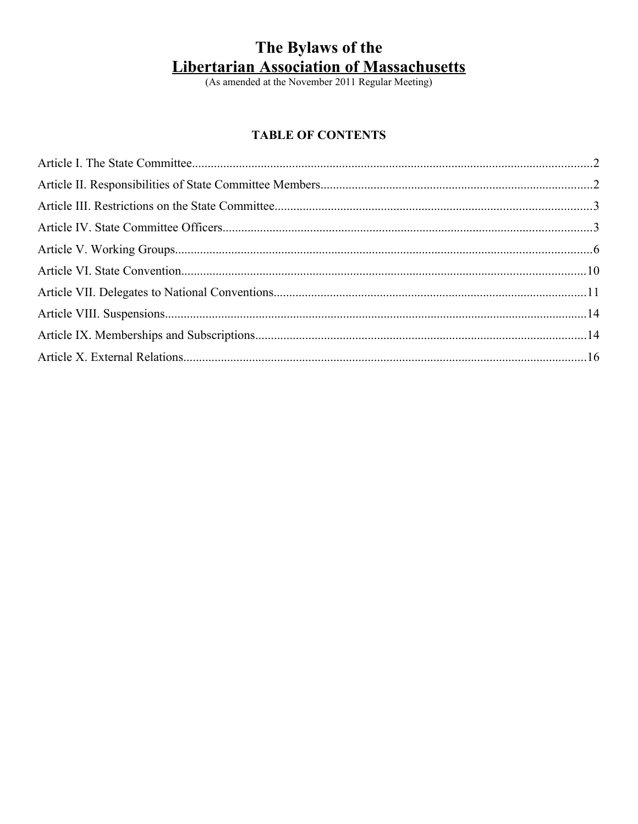# The Bylaws of the **Libertarian Association of Massachusetts**<br>(As amended at the November 2011 Regular Meeting)

## **TABLE OF CONTENTS**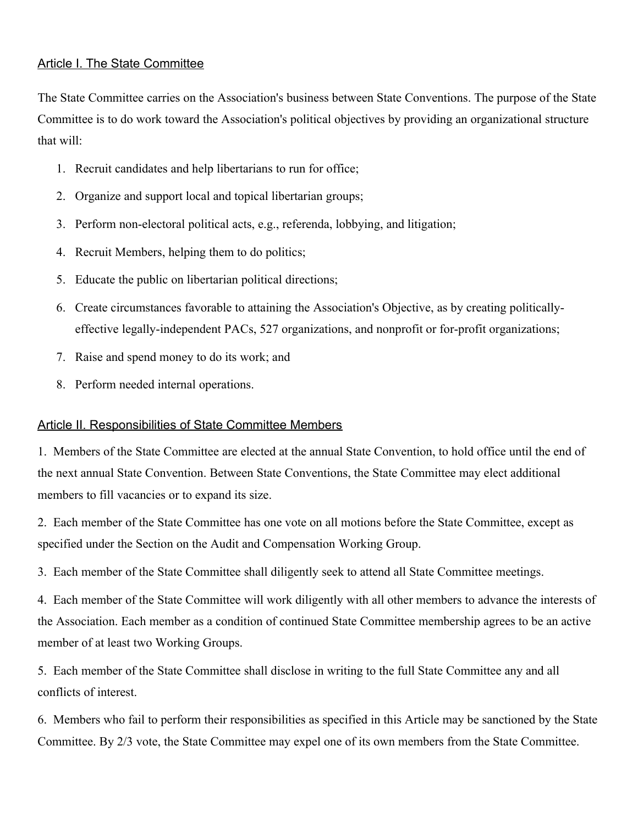## Article I. The State Committee

The State Committee carries on the Association's business between State Conventions. The purpose of the State Committee is to do work toward the Association's political objectives by providing an organizational structure that will:

- 1. Recruit candidates and help libertarians to run for office;
- 2. Organize and support local and topical libertarian groups;
- 3. Perform non-electoral political acts, e.g., referenda, lobbying, and litigation;
- 4. Recruit Members, helping them to do politics;
- 5. Educate the public on libertarian political directions;
- 6. Create circumstances favorable to attaining the Association's Objective, as by creating politicallyeffective legally-independent PACs, 527 organizations, and nonprofit or for-profit organizations;
- 7. Raise and spend money to do its work; and
- 8. Perform needed internal operations.

## Article II. Responsibilities of State Committee Members

1. Members of the State Committee are elected at the annual State Convention, to hold office until the end of the next annual State Convention. Between State Conventions, the State Committee may elect additional members to fill vacancies or to expand its size.

2. Each member of the State Committee has one vote on all motions before the State Committee, except as specified under the Section on the Audit and Compensation Working Group.

3. Each member of the State Committee shall diligently seek to attend all State Committee meetings.

4. Each member of the State Committee will work diligently with all other members to advance the interests of the Association. Each member as a condition of continued State Committee membership agrees to be an active member of at least two Working Groups.

5. Each member of the State Committee shall disclose in writing to the full State Committee any and all conflicts of interest.

6. Members who fail to perform their responsibilities as specified in this Article may be sanctioned by the State Committee. By 2/3 vote, the State Committee may expel one of its own members from the State Committee.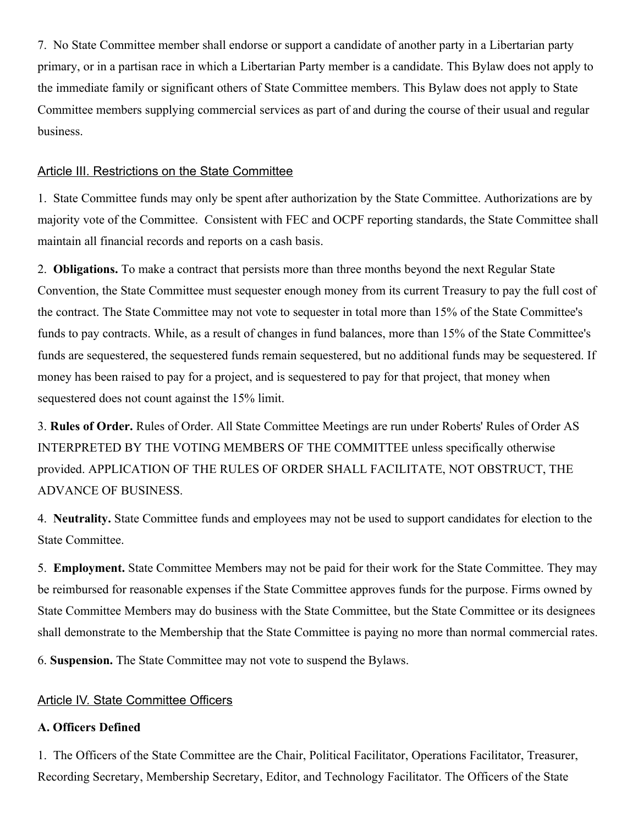7. No State Committee member shall endorse or support a candidate of another party in a Libertarian party primary, or in a partisan race in which a Libertarian Party member is a candidate. This Bylaw does not apply to the immediate family or significant others of State Committee members. This Bylaw does not apply to State Committee members supplying commercial services as part of and during the course of their usual and regular business.

#### Article III. Restrictions on the State Committee

1. State Committee funds may only be spent after authorization by the State Committee. Authorizations are by majority vote of the Committee. Consistent with FEC and OCPF reporting standards, the State Committee shall maintain all financial records and reports on a cash basis.

2. **Obligations.** To make a contract that persists more than three months beyond the next Regular State Convention, the State Committee must sequester enough money from its current Treasury to pay the full cost of the contract. The State Committee may not vote to sequester in total more than 15% of the State Committee's funds to pay contracts. While, as a result of changes in fund balances, more than 15% of the State Committee's funds are sequestered, the sequestered funds remain sequestered, but no additional funds may be sequestered. If money has been raised to pay for a project, and is sequestered to pay for that project, that money when sequestered does not count against the 15% limit.

3. **Rules of Order.** Rules of Order. All State Committee Meetings are run under Roberts' Rules of Order AS INTERPRETED BY THE VOTING MEMBERS OF THE COMMITTEE unless specifically otherwise provided. APPLICATION OF THE RULES OF ORDER SHALL FACILITATE, NOT OBSTRUCT, THE ADVANCE OF BUSINESS.

4. **Neutrality.** State Committee funds and employees may not be used to support candidates for election to the State Committee.

5. **Employment.** State Committee Members may not be paid for their work for the State Committee. They may be reimbursed for reasonable expenses if the State Committee approves funds for the purpose. Firms owned by State Committee Members may do business with the State Committee, but the State Committee or its designees shall demonstrate to the Membership that the State Committee is paying no more than normal commercial rates.

6. **Suspension.** The State Committee may not vote to suspend the Bylaws.

## Article IV. State Committee Officers

## **A. Officers Defined**

1. The Officers of the State Committee are the Chair, Political Facilitator, Operations Facilitator, Treasurer, Recording Secretary, Membership Secretary, Editor, and Technology Facilitator. The Officers of the State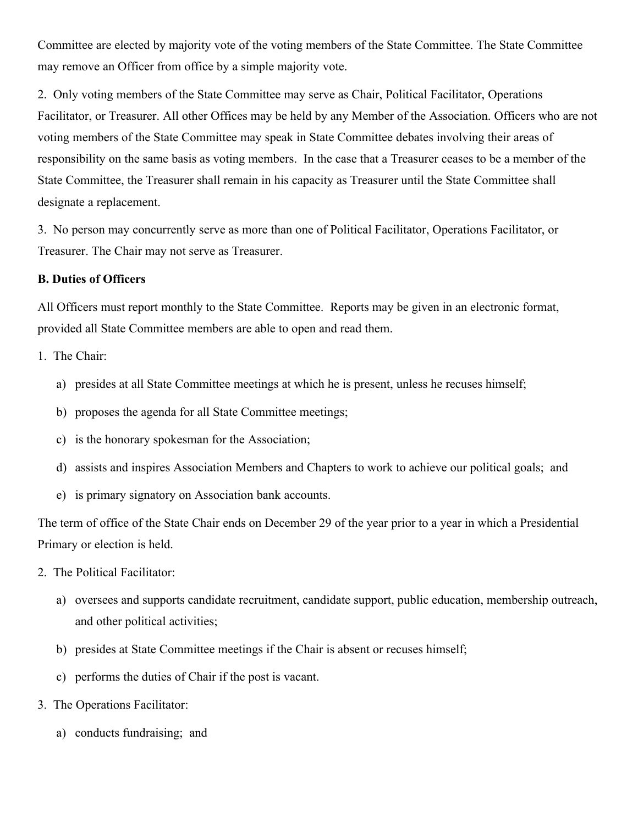Committee are elected by majority vote of the voting members of the State Committee. The State Committee may remove an Officer from office by a simple majority vote.

2. Only voting members of the State Committee may serve as Chair, Political Facilitator, Operations Facilitator, or Treasurer. All other Offices may be held by any Member of the Association. Officers who are not voting members of the State Committee may speak in State Committee debates involving their areas of responsibility on the same basis as voting members. In the case that a Treasurer ceases to be a member of the State Committee, the Treasurer shall remain in his capacity as Treasurer until the State Committee shall designate a replacement.

3. No person may concurrently serve as more than one of Political Facilitator, Operations Facilitator, or Treasurer. The Chair may not serve as Treasurer.

#### **B. Duties of Officers**

All Officers must report monthly to the State Committee. Reports may be given in an electronic format, provided all State Committee members are able to open and read them.

- 1. The Chair:
	- a) presides at all State Committee meetings at which he is present, unless he recuses himself;
	- b) proposes the agenda for all State Committee meetings;
	- c) is the honorary spokesman for the Association;
	- d) assists and inspires Association Members and Chapters to work to achieve our political goals; and
	- e) is primary signatory on Association bank accounts.

The term of office of the State Chair ends on December 29 of the year prior to a year in which a Presidential Primary or election is held.

- 2. The Political Facilitator:
	- a) oversees and supports candidate recruitment, candidate support, public education, membership outreach, and other political activities;
	- b) presides at State Committee meetings if the Chair is absent or recuses himself;
	- c) performs the duties of Chair if the post is vacant.
- 3. The Operations Facilitator:
	- a) conducts fundraising; and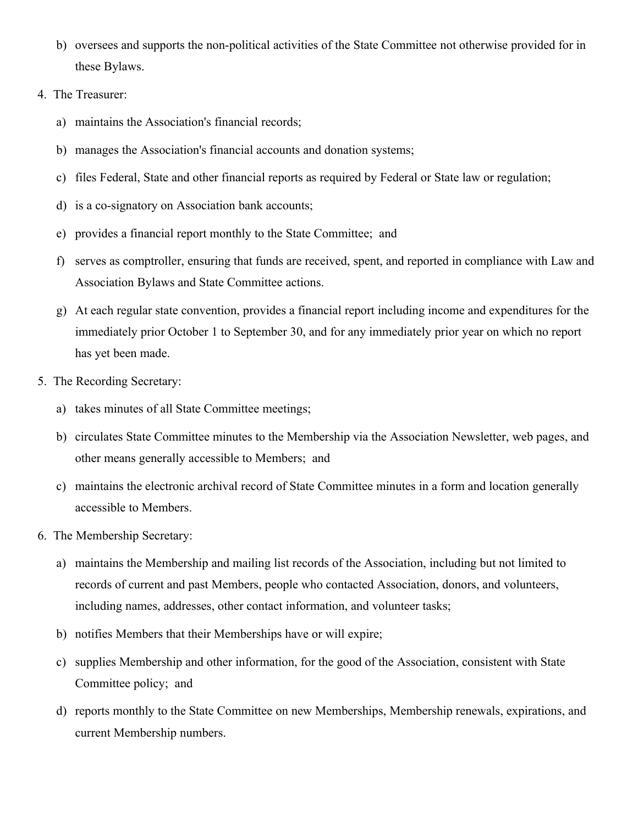- b) oversees and supports the non-political activities of the State Committee not otherwise provided for in these Bylaws.
- 4. The Treasurer:
	- a) maintains the Association's financial records;
	- b) manages the Association's financial accounts and donation systems;
	- c) files Federal, State and other financial reports as required by Federal or State law or regulation;
	- d) is a co-signatory on Association bank accounts;
	- e) provides a financial report monthly to the State Committee; and
	- f) serves as comptroller, ensuring that funds are received, spent, and reported in compliance with Law and Association Bylaws and State Committee actions.
	- g) At each regular state convention, provides a financial report including income and expenditures for the immediately prior October 1 to September 30, and for any immediately prior year on which no report has yet been made.
- 5. The Recording Secretary:
	- a) takes minutes of all State Committee meetings;
	- b) circulates State Committee minutes to the Membership via the Association Newsletter, web pages, and other means generally accessible to Members; and
	- c) maintains the electronic archival record of State Committee minutes in a form and location generally accessible to Members.
- 6. The Membership Secretary:
	- a) maintains the Membership and mailing list records of the Association, including but not limited to records of current and past Members, people who contacted Association, donors, and volunteers, including names, addresses, other contact information, and volunteer tasks;
	- b) notifies Members that their Memberships have or will expire;
	- c) supplies Membership and other information, for the good of the Association, consistent with State Committee policy; and
	- d) reports monthly to the State Committee on new Memberships, Membership renewals, expirations, and current Membership numbers.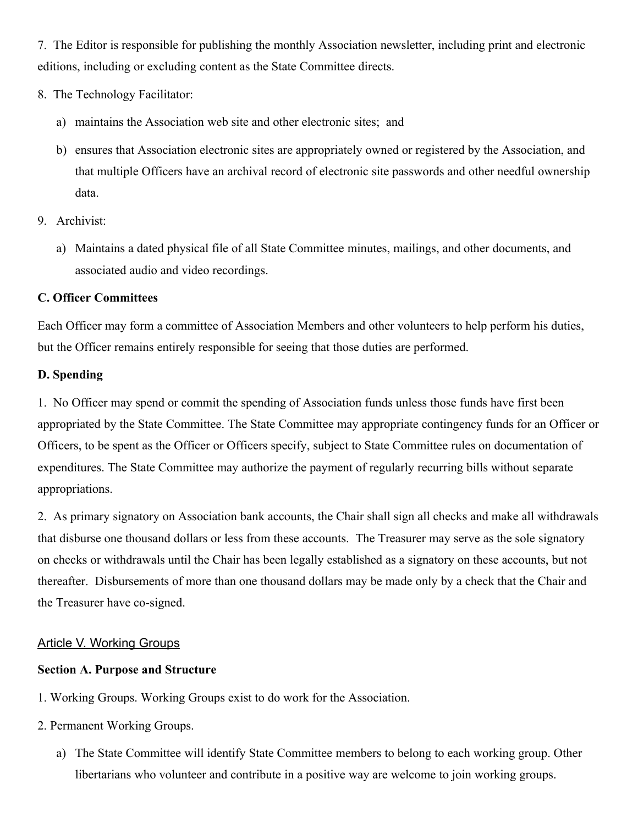7. The Editor is responsible for publishing the monthly Association newsletter, including print and electronic editions, including or excluding content as the State Committee directs.

- 8. The Technology Facilitator:
	- a) maintains the Association web site and other electronic sites; and
	- b) ensures that Association electronic sites are appropriately owned or registered by the Association, and that multiple Officers have an archival record of electronic site passwords and other needful ownership data.
- 9. Archivist:
	- a) Maintains a dated physical file of all State Committee minutes, mailings, and other documents, and associated audio and video recordings.

## **C. Officer Committees**

Each Officer may form a committee of Association Members and other volunteers to help perform his duties, but the Officer remains entirely responsible for seeing that those duties are performed.

## **D. Spending**

1. No Officer may spend or commit the spending of Association funds unless those funds have first been appropriated by the State Committee. The State Committee may appropriate contingency funds for an Officer or Officers, to be spent as the Officer or Officers specify, subject to State Committee rules on documentation of expenditures. The State Committee may authorize the payment of regularly recurring bills without separate appropriations.

2. As primary signatory on Association bank accounts, the Chair shall sign all checks and make all withdrawals that disburse one thousand dollars or less from these accounts. The Treasurer may serve as the sole signatory on checks or withdrawals until the Chair has been legally established as a signatory on these accounts, but not thereafter. Disbursements of more than one thousand dollars may be made only by a check that the Chair and the Treasurer have co-signed.

## Article V. Working Groups

## **Section A. Purpose and Structure**

- 1. Working Groups. Working Groups exist to do work for the Association.
- 2. Permanent Working Groups.
	- a) The State Committee will identify State Committee members to belong to each working group. Other libertarians who volunteer and contribute in a positive way are welcome to join working groups.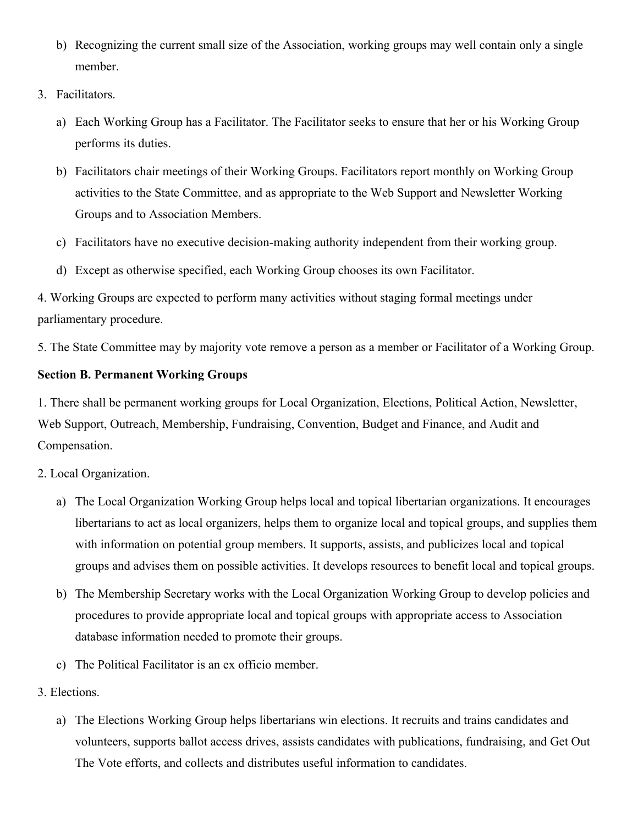- b) Recognizing the current small size of the Association, working groups may well contain only a single member.
- 3. Facilitators.
	- a) Each Working Group has a Facilitator. The Facilitator seeks to ensure that her or his Working Group performs its duties.
	- b) Facilitators chair meetings of their Working Groups. Facilitators report monthly on Working Group activities to the State Committee, and as appropriate to the Web Support and Newsletter Working Groups and to Association Members.
	- c) Facilitators have no executive decision-making authority independent from their working group.
	- d) Except as otherwise specified, each Working Group chooses its own Facilitator.

4. Working Groups are expected to perform many activities without staging formal meetings under parliamentary procedure.

5. The State Committee may by majority vote remove a person as a member or Facilitator of a Working Group.

# **Section B. Permanent Working Groups**

1. There shall be permanent working groups for Local Organization, Elections, Political Action, Newsletter, Web Support, Outreach, Membership, Fundraising, Convention, Budget and Finance, and Audit and Compensation.

# 2. Local Organization.

- a) The Local Organization Working Group helps local and topical libertarian organizations. It encourages libertarians to act as local organizers, helps them to organize local and topical groups, and supplies them with information on potential group members. It supports, assists, and publicizes local and topical groups and advises them on possible activities. It develops resources to benefit local and topical groups.
- b) The Membership Secretary works with the Local Organization Working Group to develop policies and procedures to provide appropriate local and topical groups with appropriate access to Association database information needed to promote their groups.
- c) The Political Facilitator is an ex officio member.
- 3. Elections.
	- a) The Elections Working Group helps libertarians win elections. It recruits and trains candidates and volunteers, supports ballot access drives, assists candidates with publications, fundraising, and Get Out The Vote efforts, and collects and distributes useful information to candidates.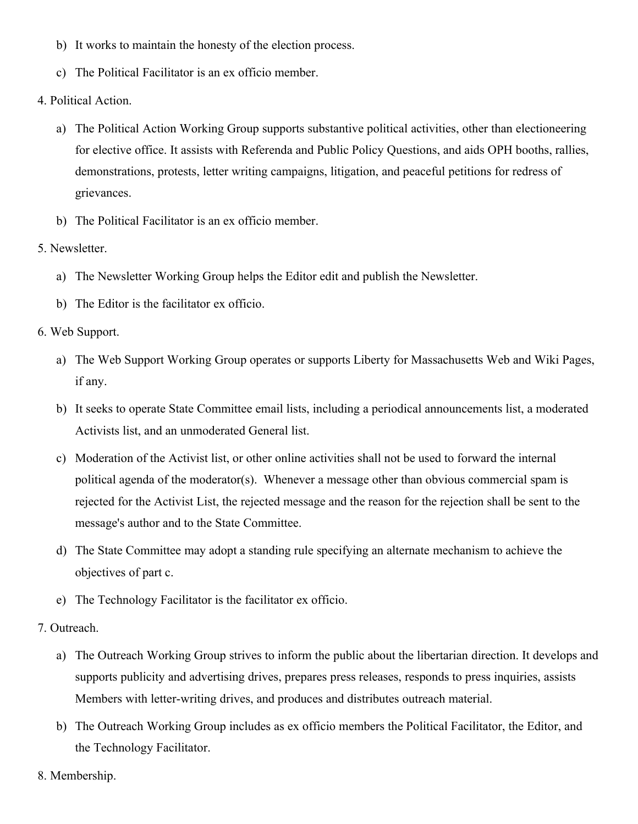- b) It works to maintain the honesty of the election process.
- c) The Political Facilitator is an ex officio member.
- 4. Political Action.
	- a) The Political Action Working Group supports substantive political activities, other than electioneering for elective office. It assists with Referenda and Public Policy Questions, and aids OPH booths, rallies, demonstrations, protests, letter writing campaigns, litigation, and peaceful petitions for redress of grievances.
	- b) The Political Facilitator is an ex officio member.
- 5. Newsletter.
	- a) The Newsletter Working Group helps the Editor edit and publish the Newsletter.
	- b) The Editor is the facilitator ex officio.
- 6. Web Support.
	- a) The Web Support Working Group operates or supports Liberty for Massachusetts Web and Wiki Pages, if any.
	- b) It seeks to operate State Committee email lists, including a periodical announcements list, a moderated Activists list, and an unmoderated General list.
	- c) Moderation of the Activist list, or other online activities shall not be used to forward the internal political agenda of the moderator(s). Whenever a message other than obvious commercial spam is rejected for the Activist List, the rejected message and the reason for the rejection shall be sent to the message's author and to the State Committee.
	- d) The State Committee may adopt a standing rule specifying an alternate mechanism to achieve the objectives of part c.
	- e) The Technology Facilitator is the facilitator ex officio.
- 7. Outreach.
	- a) The Outreach Working Group strives to inform the public about the libertarian direction. It develops and supports publicity and advertising drives, prepares press releases, responds to press inquiries, assists Members with letter-writing drives, and produces and distributes outreach material.
	- b) The Outreach Working Group includes as ex officio members the Political Facilitator, the Editor, and the Technology Facilitator.
- 8. Membership.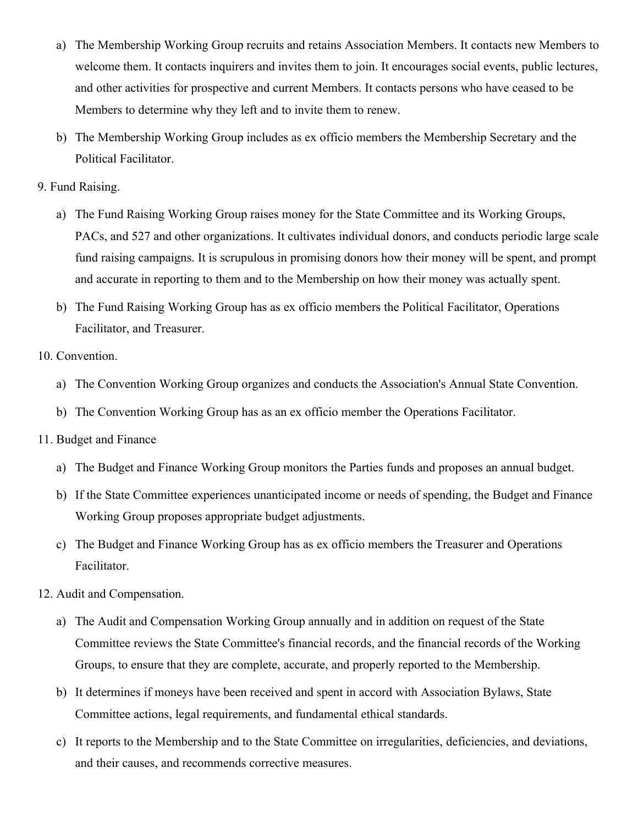- a) The Membership Working Group recruits and retains Association Members. It contacts new Members to welcome them. It contacts inquirers and invites them to join. It encourages social events, public lectures, and other activities for prospective and current Members. It contacts persons who have ceased to be Members to determine why they left and to invite them to renew.
- b) The Membership Working Group includes as ex officio members the Membership Secretary and the Political Facilitator.
- 9. Fund Raising.
	- a) The Fund Raising Working Group raises money for the State Committee and its Working Groups, PACs, and 527 and other organizations. It cultivates individual donors, and conducts periodic large scale fund raising campaigns. It is scrupulous in promising donors how their money will be spent, and prompt and accurate in reporting to them and to the Membership on how their money was actually spent.
	- b) The Fund Raising Working Group has as ex officio members the Political Facilitator, Operations Facilitator, and Treasurer.
- 10. Convention.
	- a) The Convention Working Group organizes and conducts the Association's Annual State Convention.
	- b) The Convention Working Group has as an ex officio member the Operations Facilitator.
- 11. Budget and Finance
	- a) The Budget and Finance Working Group monitors the Parties funds and proposes an annual budget.
	- b) If the State Committee experiences unanticipated income or needs of spending, the Budget and Finance Working Group proposes appropriate budget adjustments.
	- c) The Budget and Finance Working Group has as ex officio members the Treasurer and Operations Facilitator.
- 12. Audit and Compensation.
	- a) The Audit and Compensation Working Group annually and in addition on request of the State Committee reviews the State Committee's financial records, and the financial records of the Working Groups, to ensure that they are complete, accurate, and properly reported to the Membership.
	- b) It determines if moneys have been received and spent in accord with Association Bylaws, State Committee actions, legal requirements, and fundamental ethical standards.
	- c) It reports to the Membership and to the State Committee on irregularities, deficiencies, and deviations, and their causes, and recommends corrective measures.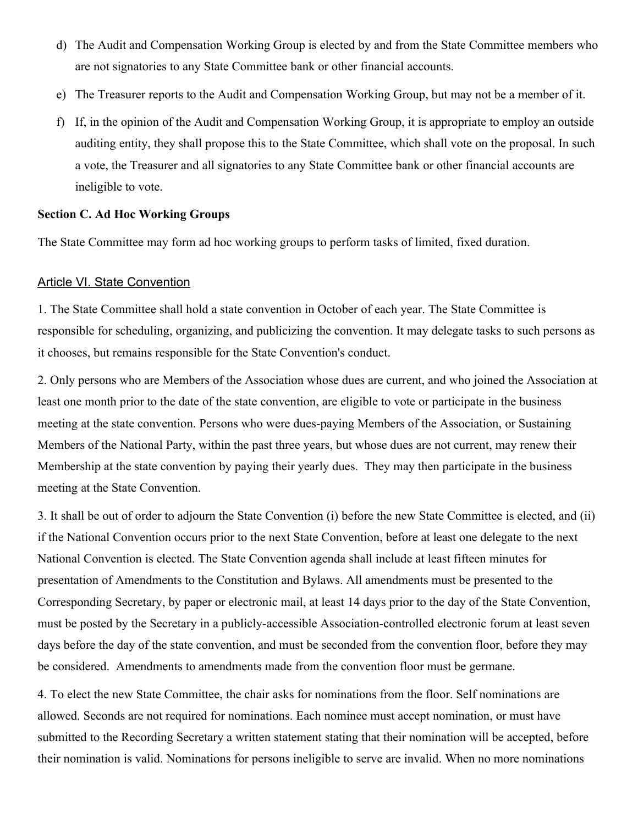- d) The Audit and Compensation Working Group is elected by and from the State Committee members who are not signatories to any State Committee bank or other financial accounts.
- e) The Treasurer reports to the Audit and Compensation Working Group, but may not be a member of it.
- f) If, in the opinion of the Audit and Compensation Working Group, it is appropriate to employ an outside auditing entity, they shall propose this to the State Committee, which shall vote on the proposal. In such a vote, the Treasurer and all signatories to any State Committee bank or other financial accounts are ineligible to vote.

#### **Section C. Ad Hoc Working Groups**

The State Committee may form ad hoc working groups to perform tasks of limited, fixed duration.

## Article VI. State Convention

1. The State Committee shall hold a state convention in October of each year. The State Committee is responsible for scheduling, organizing, and publicizing the convention. It may delegate tasks to such persons as it chooses, but remains responsible for the State Convention's conduct.

2. Only persons who are Members of the Association whose dues are current, and who joined the Association at least one month prior to the date of the state convention, are eligible to vote or participate in the business meeting at the state convention. Persons who were dues-paying Members of the Association, or Sustaining Members of the National Party, within the past three years, but whose dues are not current, may renew their Membership at the state convention by paying their yearly dues. They may then participate in the business meeting at the State Convention.

3. It shall be out of order to adjourn the State Convention (i) before the new State Committee is elected, and (ii) if the National Convention occurs prior to the next State Convention, before at least one delegate to the next National Convention is elected. The State Convention agenda shall include at least fifteen minutes for presentation of Amendments to the Constitution and Bylaws. All amendments must be presented to the Corresponding Secretary, by paper or electronic mail, at least 14 days prior to the day of the State Convention, must be posted by the Secretary in a publicly-accessible Association-controlled electronic forum at least seven days before the day of the state convention, and must be seconded from the convention floor, before they may be considered. Amendments to amendments made from the convention floor must be germane.

4. To elect the new State Committee, the chair asks for nominations from the floor. Self nominations are allowed. Seconds are not required for nominations. Each nominee must accept nomination, or must have submitted to the Recording Secretary a written statement stating that their nomination will be accepted, before their nomination is valid. Nominations for persons ineligible to serve are invalid. When no more nominations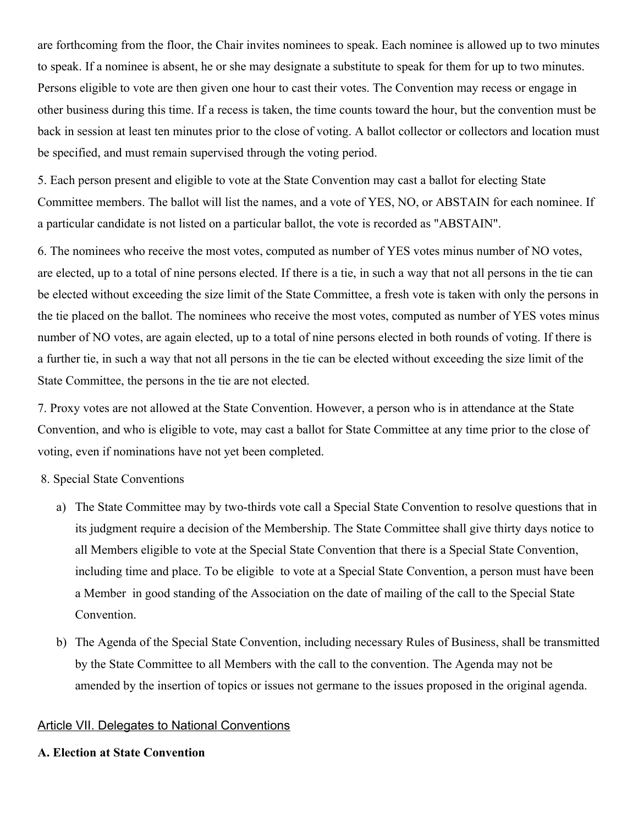are forthcoming from the floor, the Chair invites nominees to speak. Each nominee is allowed up to two minutes to speak. If a nominee is absent, he or she may designate a substitute to speak for them for up to two minutes. Persons eligible to vote are then given one hour to cast their votes. The Convention may recess or engage in other business during this time. If a recess is taken, the time counts toward the hour, but the convention must be back in session at least ten minutes prior to the close of voting. A ballot collector or collectors and location must be specified, and must remain supervised through the voting period.

5. Each person present and eligible to vote at the State Convention may cast a ballot for electing State Committee members. The ballot will list the names, and a vote of YES, NO, or ABSTAIN for each nominee. If a particular candidate is not listed on a particular ballot, the vote is recorded as "ABSTAIN".

6. The nominees who receive the most votes, computed as number of YES votes minus number of NO votes, are elected, up to a total of nine persons elected. If there is a tie, in such a way that not all persons in the tie can be elected without exceeding the size limit of the State Committee, a fresh vote is taken with only the persons in the tie placed on the ballot. The nominees who receive the most votes, computed as number of YES votes minus number of NO votes, are again elected, up to a total of nine persons elected in both rounds of voting. If there is a further tie, in such a way that not all persons in the tie can be elected without exceeding the size limit of the State Committee, the persons in the tie are not elected.

7. Proxy votes are not allowed at the State Convention. However, a person who is in attendance at the State Convention, and who is eligible to vote, may cast a ballot for State Committee at any time prior to the close of voting, even if nominations have not yet been completed.

8. Special State Conventions

- a) The State Committee may by two-thirds vote call a Special State Convention to resolve questions that in its judgment require a decision of the Membership. The State Committee shall give thirty days notice to all Members eligible to vote at the Special State Convention that there is a Special State Convention, including time and place. To be eligible to vote at a Special State Convention, a person must have been a Member in good standing of the Association on the date of mailing of the call to the Special State Convention.
- b) The Agenda of the Special State Convention, including necessary Rules of Business, shall be transmitted by the State Committee to all Members with the call to the convention. The Agenda may not be amended by the insertion of topics or issues not germane to the issues proposed in the original agenda.

#### Article VII. Delegates to National Conventions

#### **A. Election at State Convention**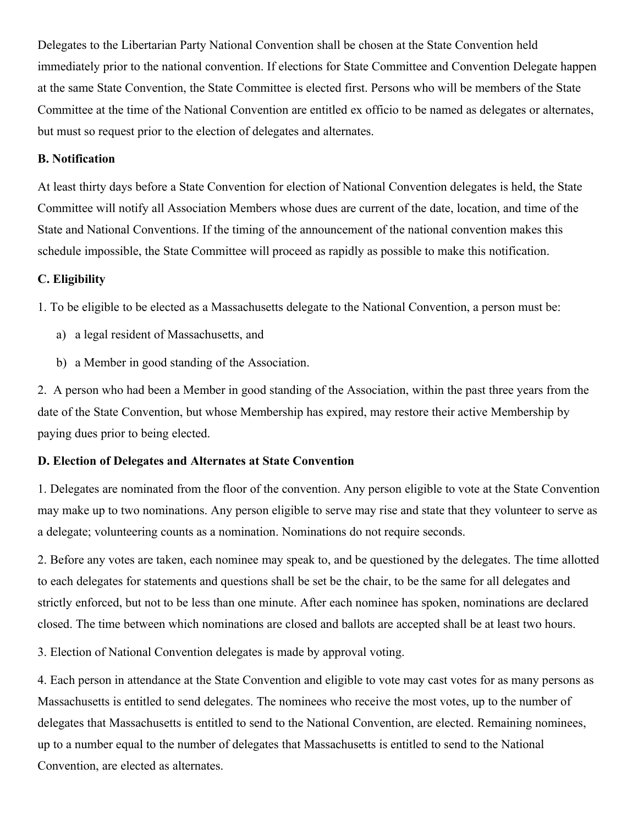Delegates to the Libertarian Party National Convention shall be chosen at the State Convention held immediately prior to the national convention. If elections for State Committee and Convention Delegate happen at the same State Convention, the State Committee is elected first. Persons who will be members of the State Committee at the time of the National Convention are entitled ex officio to be named as delegates or alternates, but must so request prior to the election of delegates and alternates.

#### **B. Notification**

At least thirty days before a State Convention for election of National Convention delegates is held, the State Committee will notify all Association Members whose dues are current of the date, location, and time of the State and National Conventions. If the timing of the announcement of the national convention makes this schedule impossible, the State Committee will proceed as rapidly as possible to make this notification.

## **C. Eligibility**

1. To be eligible to be elected as a Massachusetts delegate to the National Convention, a person must be:

- a) a legal resident of Massachusetts, and
- b) a Member in good standing of the Association.

2. A person who had been a Member in good standing of the Association, within the past three years from the date of the State Convention, but whose Membership has expired, may restore their active Membership by paying dues prior to being elected.

#### **D. Election of Delegates and Alternates at State Convention**

1. Delegates are nominated from the floor of the convention. Any person eligible to vote at the State Convention may make up to two nominations. Any person eligible to serve may rise and state that they volunteer to serve as a delegate; volunteering counts as a nomination. Nominations do not require seconds.

2. Before any votes are taken, each nominee may speak to, and be questioned by the delegates. The time allotted to each delegates for statements and questions shall be set be the chair, to be the same for all delegates and strictly enforced, but not to be less than one minute. After each nominee has spoken, nominations are declared closed. The time between which nominations are closed and ballots are accepted shall be at least two hours.

3. Election of National Convention delegates is made by approval voting.

4. Each person in attendance at the State Convention and eligible to vote may cast votes for as many persons as Massachusetts is entitled to send delegates. The nominees who receive the most votes, up to the number of delegates that Massachusetts is entitled to send to the National Convention, are elected. Remaining nominees, up to a number equal to the number of delegates that Massachusetts is entitled to send to the National Convention, are elected as alternates.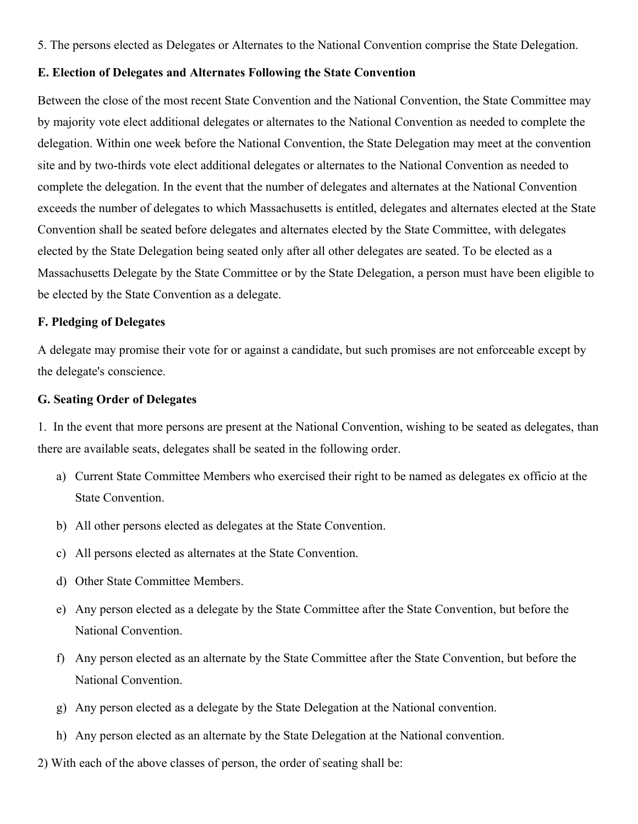5. The persons elected as Delegates or Alternates to the National Convention comprise the State Delegation.

#### **E. Election of Delegates and Alternates Following the State Convention**

Between the close of the most recent State Convention and the National Convention, the State Committee may by majority vote elect additional delegates or alternates to the National Convention as needed to complete the delegation. Within one week before the National Convention, the State Delegation may meet at the convention site and by two-thirds vote elect additional delegates or alternates to the National Convention as needed to complete the delegation. In the event that the number of delegates and alternates at the National Convention exceeds the number of delegates to which Massachusetts is entitled, delegates and alternates elected at the State Convention shall be seated before delegates and alternates elected by the State Committee, with delegates elected by the State Delegation being seated only after all other delegates are seated. To be elected as a Massachusetts Delegate by the State Committee or by the State Delegation, a person must have been eligible to be elected by the State Convention as a delegate.

#### **F. Pledging of Delegates**

A delegate may promise their vote for or against a candidate, but such promises are not enforceable except by the delegate's conscience.

#### **G. Seating Order of Delegates**

1. In the event that more persons are present at the National Convention, wishing to be seated as delegates, than there are available seats, delegates shall be seated in the following order.

- a) Current State Committee Members who exercised their right to be named as delegates ex officio at the State Convention.
- b) All other persons elected as delegates at the State Convention.
- c) All persons elected as alternates at the State Convention.
- d) Other State Committee Members.
- e) Any person elected as a delegate by the State Committee after the State Convention, but before the National Convention.
- f) Any person elected as an alternate by the State Committee after the State Convention, but before the National Convention.
- g) Any person elected as a delegate by the State Delegation at the National convention.
- h) Any person elected as an alternate by the State Delegation at the National convention.
- 2) With each of the above classes of person, the order of seating shall be: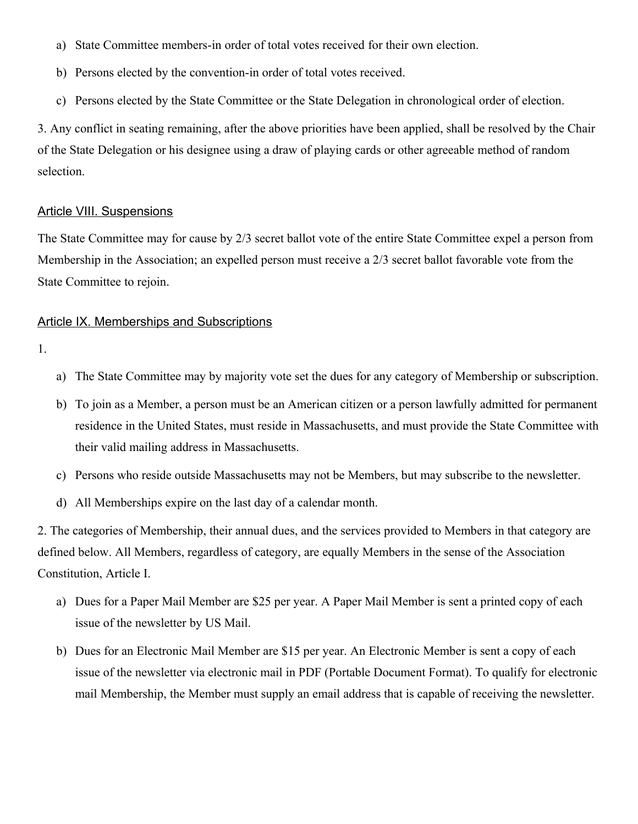- a) State Committee members-in order of total votes received for their own election.
- b) Persons elected by the convention-in order of total votes received.
- c) Persons elected by the State Committee or the State Delegation in chronological order of election.

3. Any conflict in seating remaining, after the above priorities have been applied, shall be resolved by the Chair of the State Delegation or his designee using a draw of playing cards or other agreeable method of random selection.

#### Article VIII. Suspensions

The State Committee may for cause by 2/3 secret ballot vote of the entire State Committee expel a person from Membership in the Association; an expelled person must receive a 2/3 secret ballot favorable vote from the State Committee to rejoin.

#### Article IX. Memberships and Subscriptions

- 1.
- a) The State Committee may by majority vote set the dues for any category of Membership or subscription.
- b) To join as a Member, a person must be an American citizen or a person lawfully admitted for permanent residence in the United States, must reside in Massachusetts, and must provide the State Committee with their valid mailing address in Massachusetts.
- c) Persons who reside outside Massachusetts may not be Members, but may subscribe to the newsletter.
- d) All Memberships expire on the last day of a calendar month.

2. The categories of Membership, their annual dues, and the services provided to Members in that category are defined below. All Members, regardless of category, are equally Members in the sense of the Association Constitution, Article I.

- a) Dues for a Paper Mail Member are \$25 per year. A Paper Mail Member is sent a printed copy of each issue of the newsletter by US Mail.
- b) Dues for an Electronic Mail Member are \$15 per year. An Electronic Member is sent a copy of each issue of the newsletter via electronic mail in PDF (Portable Document Format). To qualify for electronic mail Membership, the Member must supply an email address that is capable of receiving the newsletter.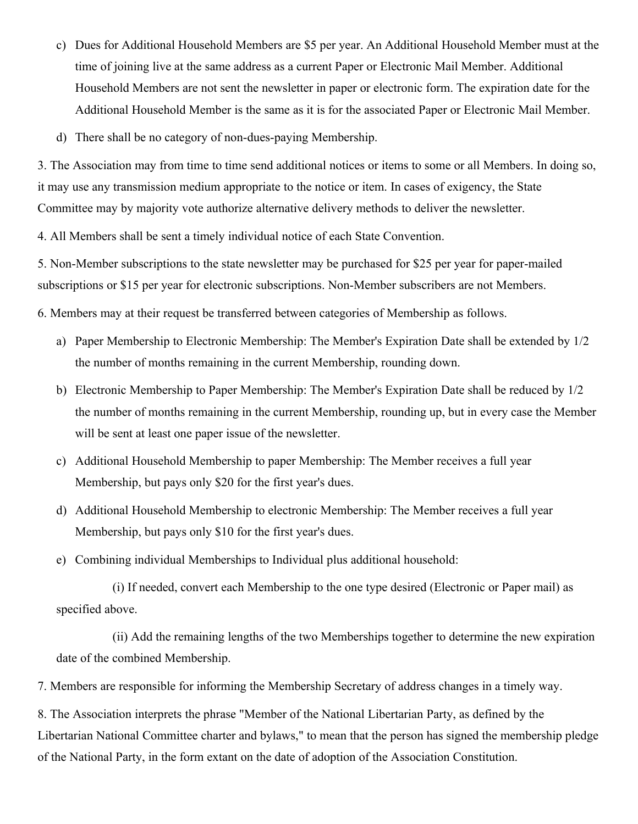- c) Dues for Additional Household Members are \$5 per year. An Additional Household Member must at the time of joining live at the same address as a current Paper or Electronic Mail Member. Additional Household Members are not sent the newsletter in paper or electronic form. The expiration date for the Additional Household Member is the same as it is for the associated Paper or Electronic Mail Member.
- d) There shall be no category of non-dues-paying Membership.

3. The Association may from time to time send additional notices or items to some or all Members. In doing so, it may use any transmission medium appropriate to the notice or item. In cases of exigency, the State Committee may by majority vote authorize alternative delivery methods to deliver the newsletter.

4. All Members shall be sent a timely individual notice of each State Convention.

5. Non-Member subscriptions to the state newsletter may be purchased for \$25 per year for paper-mailed subscriptions or \$15 per year for electronic subscriptions. Non-Member subscribers are not Members.

6. Members may at their request be transferred between categories of Membership as follows.

- a) Paper Membership to Electronic Membership: The Member's Expiration Date shall be extended by 1/2 the number of months remaining in the current Membership, rounding down.
- b) Electronic Membership to Paper Membership: The Member's Expiration Date shall be reduced by 1/2 the number of months remaining in the current Membership, rounding up, but in every case the Member will be sent at least one paper issue of the newsletter.
- c) Additional Household Membership to paper Membership: The Member receives a full year Membership, but pays only \$20 for the first year's dues.
- d) Additional Household Membership to electronic Membership: The Member receives a full year Membership, but pays only \$10 for the first year's dues.
- e) Combining individual Memberships to Individual plus additional household:

(i) If needed, convert each Membership to the one type desired (Electronic or Paper mail) as specified above.

(ii) Add the remaining lengths of the two Memberships together to determine the new expiration date of the combined Membership.

7. Members are responsible for informing the Membership Secretary of address changes in a timely way.

8. The Association interprets the phrase "Member of the National Libertarian Party, as defined by the Libertarian National Committee charter and bylaws," to mean that the person has signed the membership pledge of the National Party, in the form extant on the date of adoption of the Association Constitution.